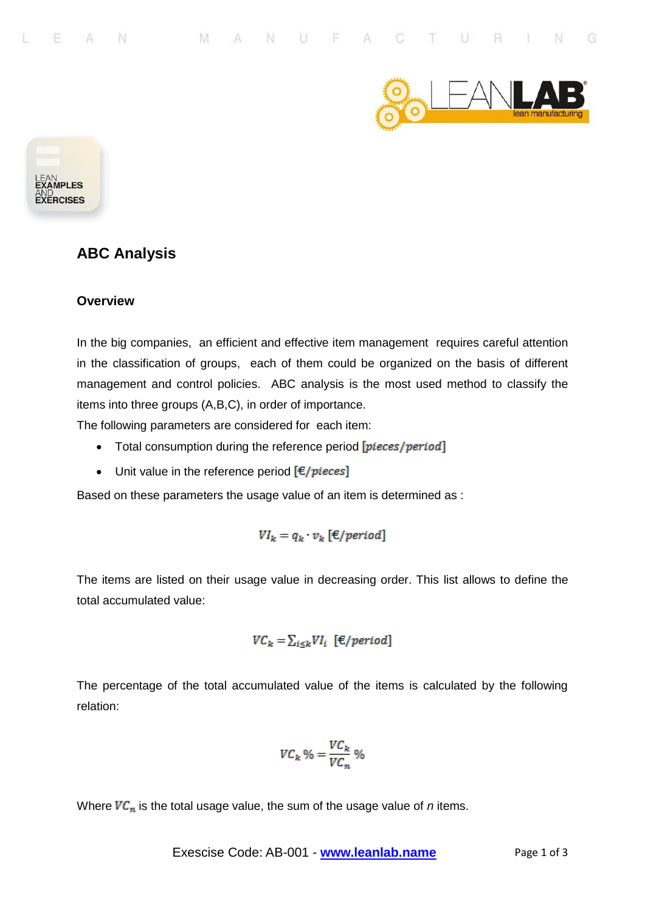



## **ABC Analysis**

## **Overview**

In the big companies, an efficient and effective item management requires careful attention in the classification of groups, each of them could be organized on the basis of different management and control policies. ABC analysis is the most used method to classify the items into three groups (A,B,C), in order of importance.

The following parameters are considered for each item:

- Total consumption during the reference period [pieces/period]
- Unit value in the reference period  $\mathbf{[} \in \mathbf{[} p \mathbf{[} \mathbf{[} \mathbf{[} \mathbf{[} \mathbf{[} \mathbf{[} \mathbf{[} \mathbf{[} \mathbf{[} \mathbf{[} \mathbf{[} \mathbf{[} \mathbf{[} \mathbf{[} \mathbf{[} \mathbf{[} \mathbf{[} \mathbf{[} \mathbf{[} \mathbf{[} \mathbf{[} \mathbf{[} \mathbf{[} \mathbf{[} \mathbf{[} \mathbf{[} \mathbf{[} \mathbf{[}$

Based on these parameters the usage value of an item is determined as :

$$
VI_k = q_k \cdot v_k \, [\mathcal{E}/period]
$$

The items are listed on their usage value in decreasing order. This list allows to define the total accumulated value:

$$
VC_k = \sum_{i \le k} VI_i \ [\text{E/period}]
$$

The percentage of the total accumulated value of the items is calculated by the following relation:

$$
VC_k \% = \frac{VC_k}{VC_n} \%
$$

Where  $VC_n$  is the total usage value, the sum of the usage value of *n* items.

Exescise Code: AB-001 - www.leanlab.name Page 1 of 3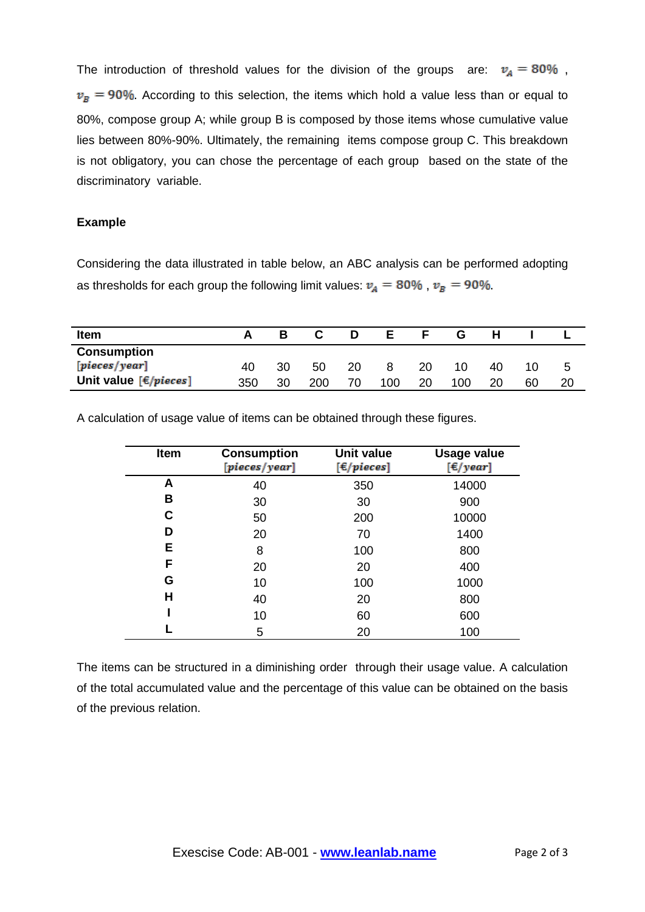The introduction of threshold values for the division of the groups are:  $v_A = 80\%$ ,  $v_B = 90\%$ . According to this selection, the items which hold a value less than or equal to 80%, compose group A; while group B is composed by those items whose cumulative value lies between 80%-90%. Ultimately, the remaining items compose group C. This breakdown is not obligatory, you can chose the percentage of each group based on the state of the discriminatory variable.

## **Example**

Considering the data illustrated in table below, an ABC analysis can be performed adopting as thresholds for each group the following limit values:  $v_A = 80\%$ ,  $v_B = 90\%$ .

| Item                    |     |    |     |    |     |    | G   |    |    |   |
|-------------------------|-----|----|-----|----|-----|----|-----|----|----|---|
| <b>Consumption</b>      |     |    |     |    |     |    |     |    |    |   |
| [pieces/year]           | 40  | 30 | 50  | 20 | 8   | 20 | 10  | 40 | 10 | b |
| Unit value $[É/pieces]$ | 350 | 30 | 200 | 70 | 100 | 20 | 100 | 20 | 60 |   |

A calculation of usage value of items can be obtained through these figures.

| Item | <b>Consumption</b><br>[pieces/year] | <b>Unit value</b><br>$[\in$ /pieces] | <b>Usage value</b><br>$[\epsilon$ /year] |
|------|-------------------------------------|--------------------------------------|------------------------------------------|
| А    | 40                                  | 350                                  | 14000                                    |
| B    | 30                                  | 30                                   | 900                                      |
| С    | 50                                  | 200                                  | 10000                                    |
| D    | 20                                  | 70                                   | 1400                                     |
| E    | 8                                   | 100                                  | 800                                      |
| F    | 20                                  | 20                                   | 400                                      |
| G    | 10                                  | 100                                  | 1000                                     |
| Н    | 40                                  | 20                                   | 800                                      |
|      | 10                                  | 60                                   | 600                                      |
|      | 5                                   | 20                                   | 100                                      |

The items can be structured in a diminishing order through their usage value. A calculation of the total accumulated value and the percentage of this value can be obtained on the basis of the previous relation.